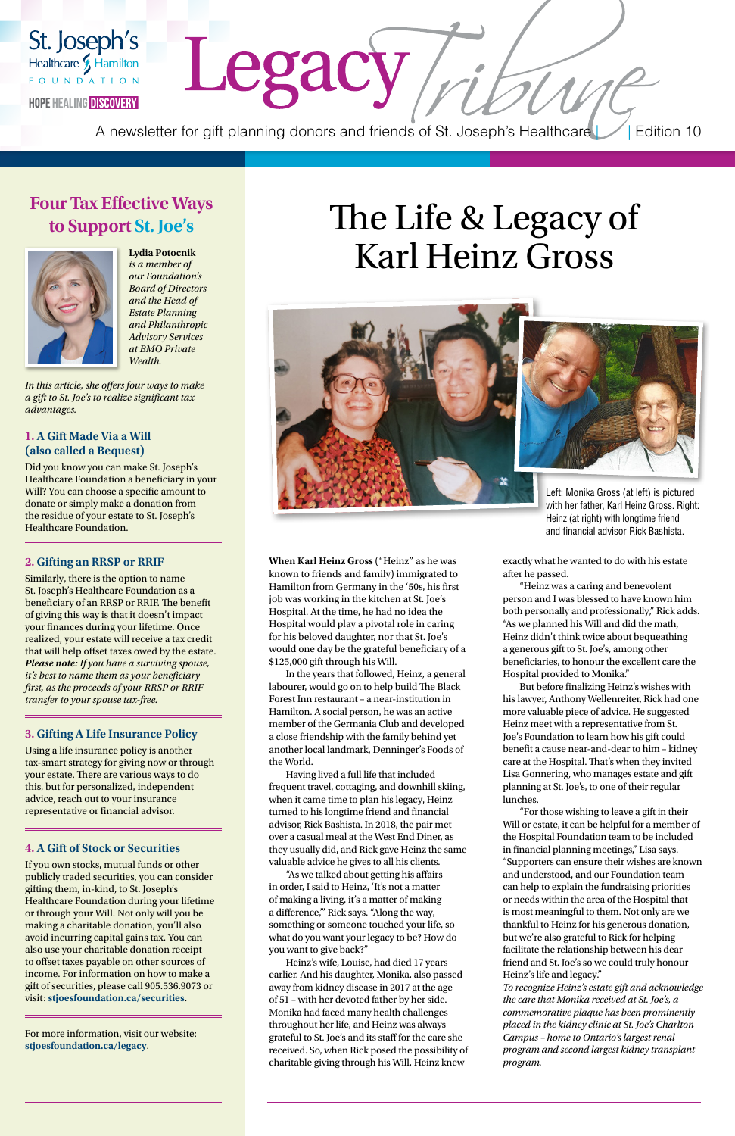**When Karl Heinz Gross** ("Heinz" as he was known to friends and family) immigrated to Hamilton from Germany in the '50s, his first job was working in the kitchen at St. Joe's Hospital. At the time, he had no idea the Hospital would play a pivotal role in caring for his beloved daughter, nor that St. Joe's would one day be the grateful beneficiary of a \$125,000 gift through his Will.

In the years that followed, Heinz, a general labourer, would go on to help build The Black Forest Inn restaurant – a near-institution in Hamilton. A social person, he was an active member of the Germania Club and developed a close friendship with the family behind yet another local landmark, Denninger's Foods of the World.

Having lived a full life that included frequent travel, cottaging, and downhill skiing, when it came time to plan his legacy, Heinz turned to his longtime friend and financial advisor, Rick Bashista. In 2018, the pair met over a casual meal at the West End Diner, as they usually did, and Rick gave Heinz the same valuable advice he gives to all his clients. "As we talked about getting his affairs in order, I said to Heinz, 'It's not a matter of making a living, it's a matter of making a difference,'" Rick says. "Along the way, something or someone touched your life, so what do you want your legacy to be? How do you want to give back?" Heinz's wife, Louise, had died 17 years earlier. And his daughter, Monika, also passed away from kidney disease in 2017 at the age of 51 – with her devoted father by her side. Monika had faced many health challenges throughout her life, and Heinz was always grateful to St. Joe's and its staff for the care she received. So, when Rick posed the possibility of charitable giving through his Will, Heinz knew

exactly what he wanted to do with his estate after he passed.

"Heinz was a caring and benevolent person and I was blessed to have known him both personally and professionally," Rick adds. "As we planned his Will and did the math, Heinz didn't think twice about bequeathing a generous gift to St. Joe's, among other beneficiaries, to honour the excellent care the Hospital provided to Monika."

But before finalizing Heinz's wishes with his lawyer, Anthony Wellenreiter, Rick had one more valuable piece of advice. He suggested Heinz meet with a representative from St. Joe's Foundation to learn how his gift could benefit a cause near-and-dear to him – kidney care at the Hospital. That's when they invited Lisa Gonnering, who manages estate and gift planning at St. Joe's, to one of their regular lunches.

"For those wishing to leave a gift in their Will or estate, it can be helpful for a member of the Hospital Foundation team to be included in financial planning meetings," Lisa says. "Supporters can ensure their wishes are known and understood, and our Foundation team can help to explain the fundraising priorities or needs within the area of the Hospital that is most meaningful to them. Not only are we thankful to Heinz for his generous donation, but we're also grateful to Rick for helping facilitate the relationship between his dear friend and St. Joe's so we could truly honour Heinz's life and legacy." *To recognize Heinz's estate gift and acknowledge the care that Monika received at St. Joe's, a commemorative plaque has been prominently placed in the kidney clinic at St. Joe's Charlton Campus – home to Ontario's largest renal program and second largest kidney transplant program.*

# The Life & Legacy of Karl Heinz Gross



## **Four Tax Effective Ways to Support St. Joe's**



St. Joseph's

Healthcare & Hamilton FOUNDATION

**HOPE HEALING DISCOVERY** 

**Lydia Potocnik**  *is a member of our Foundation's Board of Directors and the Head of Estate Planning and Philanthropic Advisory Services at BMO Private Wealth.* 

*In this article, she offers four ways to make a gift to St. Joe's to realize significant tax advantages.*

#### **1. A Gift Made Via a Will (also called a Bequest)**

Did you know you can make St. Joseph's Healthcare Foundation a beneficiary in your Will? You can choose a specific amount to donate or simply make a donation from the residue of your estate to St. Joseph's Healthcare Foundation.

#### **2. Gifting an RRSP or RRIF**

Similarly, there is the option to name St. Joseph's Healthcare Foundation as a beneficiary of an RRSP or RRIF. The benefit of giving this way is that it doesn't impact your finances during your lifetime. Once realized, your estate will receive a tax credit that will help offset taxes owed by the estate. *Please note: If you have a surviving spouse, it's best to name them as your beneficiary first, as the proceeds of your RRSP or RRIF transfer to your spouse tax-free.* 

#### **3. Gifting A Life Insurance Policy**

Using a life insurance policy is another tax-smart strategy for giving now or through your estate. There are various ways to do this, but for personalized, independent advice, reach out to your insurance representative or financial advisor.

#### **4. A Gift of Stock or Securities**

If you own stocks, mutual funds or other publicly traded securities, you can consider gifting them, in-kind, to St. Joseph's Healthcare Foundation during your lifetime or through your Will. Not only will you be making a charitable donation, you'll also avoid incurring capital gains tax. You can also use your charitable donation receipt to offset taxes payable on other sources of income. For information on how to make a gift of securities, please call 905.536.9073 or visit: **stjoesfoundation.ca/securities**.

For more information, visit our website: **stjoesfoundation.ca/legacy**.

A newsletter for gift planning donors and friends of St. Joseph's Healthcare || Edition 10

Legacy,

Left: Monika Gross (at left) is pictured with her father, Karl Heinz Gross. Right: Heinz (at right) with longtime friend and financial advisor Rick Bashista.